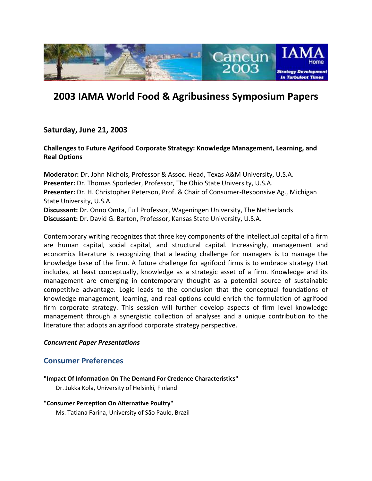

# **2003 IAMA World Food & Agribusiness Symposium Papers**

# **Saturday, June 21, 2003**

**Challenges to Future Agrifood Corporate Strategy: Knowledge Management, Learning, and Real Options**

**Moderator:** Dr. John Nichols, Professor & Assoc. Head, Texas A&M University, U.S.A. **Presenter:** Dr. Thomas Sporleder, Professor, The Ohio State University, U.S.A. **Presenter:** Dr. H. Christopher Peterson, Prof. & Chair of Consumer-Responsive Ag., Michigan State University, U.S.A. **Discussant:** Dr. Onno Omta, Full Professor, Wageningen University, The Netherlands

**Discussant:** Dr. David G. Barton, Professor, Kansas State University, U.S.A.

Contemporary writing recognizes that three key components of the intellectual capital of a firm are human capital, social capital, and structural capital. Increasingly, management and economics literature is recognizing that a leading challenge for managers is to manage the knowledge base of the firm. A future challenge for agrifood firms is to embrace strategy that includes, at least conceptually, knowledge as a strategic asset of a firm. Knowledge and its management are emerging in contemporary thought as a potential source of sustainable competitive advantage. Logic leads to the conclusion that the conceptual foundations of knowledge management, learning, and real options could enrich the formulation of agrifood firm corporate strategy. This session will further develop aspects of firm level knowledge management through a synergistic collection of analyses and a unique contribution to the literature that adopts an agrifood corporate strategy perspective.

### *Concurrent Paper Presentations*

# **Consumer Preferences**

### **"Impact Of Information On The Demand For Credence Characteristics"**

Dr. Jukka Kola, University of Helsinki, Finland

#### **"Consumer Perception On Alternative Poultry"**

Ms. Tatiana Farina, University of São Paulo, Brazil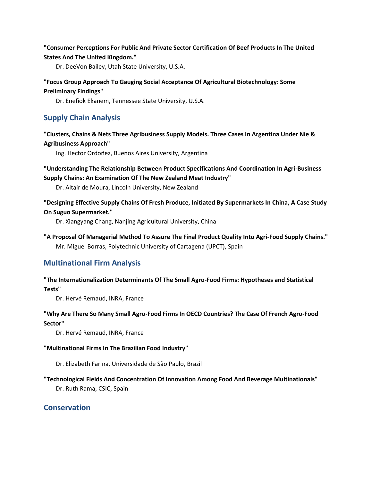### **"Consumer Perceptions For Public And Private Sector Certification Of Beef Products In The United States And The United Kingdom."**

Dr. DeeVon Bailey, Utah State University, U.S.A.

### **"Focus Group Approach To Gauging Social Acceptance Of Agricultural Biotechnology: Some Preliminary Findings"**

Dr. Enefiok Ekanem, Tennessee State University, U.S.A.

# **Supply Chain Analysis**

**"Clusters, Chains & Nets Three Agribusiness Supply Models. Three Cases In Argentina Under Nie & Agribusiness Approach"**

Ing. Hector Ordoñez, Buenos Aires University, Argentina

**"Understanding The Relationship Between Product Specifications And Coordination In Agri-Business Supply Chains: An Examination Of The New Zealand Meat Industry"**

Dr. Altair de Moura, Lincoln University, New Zealand

**"Designing Effective Supply Chains Of Fresh Produce, Initiated By Supermarkets In China, A Case Study On Suguo Supermarket."**

Dr. Xiangyang Chang, Nanjing Agricultural University, China

**"A Proposal Of Managerial Method To Assure The Final Product Quality Into Agri-Food Supply Chains."** Mr. Miguel Borrás, Polytechnic University of Cartagena (UPCT), Spain

# **Multinational Firm Analysis**

#### **["The Internationalization Determinants Of The Small Agro-Food Firms: Hypotheses and Statistical](http://www.ifama.org/conferences/2003Conference/papers/RemaudINTER.pdf)  [Tests"](http://www.ifama.org/conferences/2003Conference/papers/RemaudINTER.pdf)**

Dr. Hervé Remaud, INRA, France

### **["Why Are There So Many Small Agro-Food Firms In OECD Countries? The Case Of French Agro-Food](http://www.ifama.org/conferences/2003Conference/papers/RemaudWHY.pdf)  [Sector"](http://www.ifama.org/conferences/2003Conference/papers/RemaudWHY.pdf)**

Dr. Hervé Remaud, INRA, France

#### **"Multinational Firms In The Brazilian Food Industry"**

Dr. Elizabeth Farina, Universidade de São Paulo, Brazil

#### **["Technological Fields And Concentration Of Innovation Among Food And Beverage Multinationals"](http://www.ifama.org/conferences/2003Conference/papers/rama.pdf)**

Dr. Ruth Rama, CSIC, Spain

# **Conservation**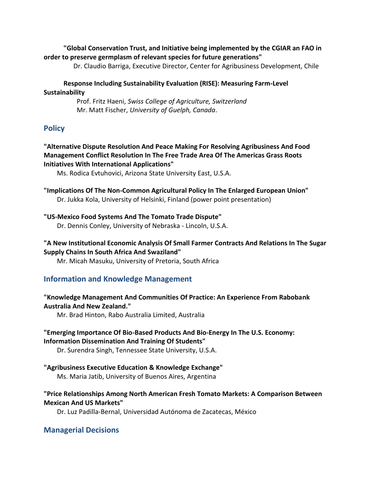### **"Global Conservation Trust, and Initiative being implemented by the CGIAR an FAO in order to preserve germplasm of relevant species for future generations"**

Dr. Claudio Barriga, Executive Director, Center for Agribusiness Development, Chile

### **Response Including Sustainability Evaluation (RISE): Measuring Farm-Level Sustainability**

Prof. Fritz Haeni, *Swiss College of Agriculture, Switzerland* Mr. Matt Fischer, *University of Guelph, Canada*.

# **Policy**

### **"Alternative Dispute Resolution And Peace Making For Resolving Agribusiness And Food Management Conflict Resolution In The Free Trade Area Of The Americas Grass Roots Initiatives With International Applications"**

Ms. Rodica Evtuhovici, Arizona State University East, U.S.A.

**"Implications Of The Non-Common Agricultural Policy In The Enlarged European Union"** Dr. Jukka Kola, University of Helsinki, Finland (power point presentation)

### **["US-Mexico Food Systems And The Tomato Trade Dispute"](http://www.ifama.org/conferences/2003Conference/papers/conleyUS.pdf)**

Dr. Dennis Conley, University of Nebraska - Lincoln, U.S.A.

# **["A New Institutional Economic Analysis Of Small Farmer Contracts And Relations In The Sugar](http://www.ifama.org/conferences/2003Conference/papers/masuku.pdf)  [Supply Chains In South Africa And Swaziland"](http://www.ifama.org/conferences/2003Conference/papers/masuku.pdf)**

Mr. Micah Masuku, University of Pretoria, South Africa

# **Information and Knowledge Management**

### **"Knowledge Management And Communities Of Practice: An Experience From Rabobank Australia And New Zealand."**

Mr. Brad Hinton, Rabo Australia Limited, Australia

### **["Emerging Importance Of Bio-Based Products And Bio-Energy In The U.S. Economy:](http://www.ifama.org/conferences/2003Conference/papers/singh.pdf)  [Information Dissemination And Training Of Students"](http://www.ifama.org/conferences/2003Conference/papers/singh.pdf)**

Dr. Surendra Singh, Tennessee State University, U.S.A.

**["Agribusiness Executive Education & Knowledge Exchange"](http://www.ifama.org/conferences/2003Conference/papers/jatibAGBUS.pdf)**

Ms. Maria Jatib, University of Buenos Aires, Argentina

# **["Price Relationships Among North American Fresh Tomato Markets: A Comparison Between](http://www.ifama.org/conferences/2003Conference/papers/padilla-bernal.pdf)  [Mexican And US Markets"](http://www.ifama.org/conferences/2003Conference/papers/padilla-bernal.pdf)**

Dr. Luz Padilla-Bernal, Universidad Autónoma de Zacatecas, México

# **Managerial Decisions**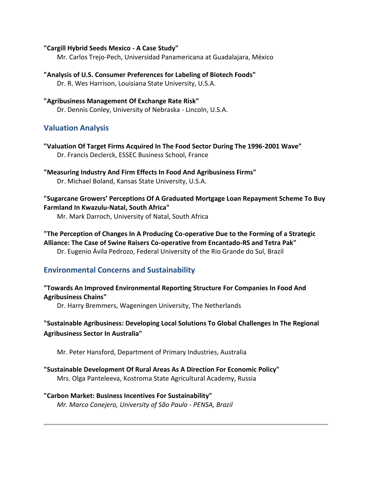#### **"Cargill Hybrid Seeds Mexico - A Case Study"**

Mr. Carlos Trejo-Pech, Universidad Panamericana at Guadalajara, México

**["Analysis of U.S. Consumer Preferences for Labeling of Biotech Foods"](http://www.ifama.org/conferences/2003Conference/papers/harrison.pdf)** Dr. R. Wes Harrison, Louisiana State University, U.S.A.

# **["Agribusiness Management Of Exchange Rate Risk"](http://www.ifama.org/conferences/2003Conference/papers/conleyAGBUS.pdf)** Dr. Dennis Conley, University of Nebraska - Lincoln, U.S.A.

# **Valuation Analysis**

- **["Valuation Of Target Firms Acquired In The Food Sector During The 1996-2001 Wave"](http://www.ifama.org/conferences/2003Conference/papers/declerck.pdf)** Dr. Francis Declerck, ESSEC Business School, France
- **["Measuring Industry And Firm Effects In Food And Agribusiness Firms"](http://www.ifama.org/conferences/2003Conference/papers/boland.pdf)** Dr. Michael Boland, Kansas State University, U.S.A.

**"Sugarcane Grower[s' Perceptions Of A Graduated Mortgage Loan Repayment Scheme To Buy](http://www.ifama.org/conferences/2003Conference/papers/darroch.pdf)  [Farmland In Kwazulu-Natal, South Africa"](http://www.ifama.org/conferences/2003Conference/papers/darroch.pdf)**

Mr. Mark Darroch, University of Natal, South Africa

# **["The Perception of Changes In A Producing Co-operative Due to the Forming of a Strategic](http://www.ifama.org/conferences/2003Conference/papers/avilapedrozo.pdf)  [Alliance: The Case of Swine Raisers Co-operative from Encantado-RS and Tetra Pak"](http://www.ifama.org/conferences/2003Conference/papers/avilapedrozo.pdf)**

Dr. Eugenio Ávila Pedrozo, Federal University of the Rio Grande do Sul, Brazil

# **Environmental Concerns and Sustainability**

# **["Towards An Improved Environmental Reporting Structure For Companies In Food And](http://www.ifama.org/conferences/2003Conference/papers/bremmers.pdf)  [Agribusiness Chains"](http://www.ifama.org/conferences/2003Conference/papers/bremmers.pdf)**

Dr. Harry Bremmers, Wageningen University, The Netherlands

# **"Sustainable Agribusiness: Developing Local Solutions To Global Challenges In The Regional Agribusiness Sector In Australia"**

Mr. Peter Hansford, Department of Primary Industries, Australia

# **["Sustainable Development Of Rural Areas As A Direction For Economic Policy"](http://www.ifama.org/conferences/2003Conference/papers/panteleeva.pdf)**

Mrs. Olga Panteleeva, Kostroma State Agricultural Academy, Russia

# **["Carbon Market: Business Incentives For Sustainability"](http://www.ifama.org/conferences/2003Conference/papers/conejero.pdf)**

 *Mr. Marco Conejero, University of São Paulo - PENSA, Brazil*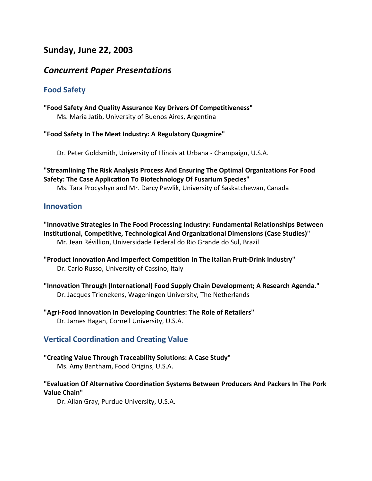# **Sunday, June 22, 2003**

# *Concurrent Paper Presentations*

# **Food Safety**

**["Food Safety And Quality Assurance Key Drivers Of Competitiveness"](http://www.ifama.org/conferences/2003Conference/papers/jatibFOOD.pdf)** Ms. Maria Jatib, University of Buenos Aires, Argentina

### **"Food Safety In The Meat Industry: A Regulatory Quagmire"**

Dr. Peter Goldsmith, University of Illinois at Urbana - Champaign, U.S.A.

**["Streamlining The Risk Analysis Process And Ensuring The Optimal Organizations For Food](http://www.ifama.org/conferences/2003Conference/papers/pawlik.pdf)  [Safety: The Case Application To Biotechnology Of Fusarium Species"](http://www.ifama.org/conferences/2003Conference/papers/pawlik.pdf)**

Ms. Tara Procyshyn and Mr. Darcy Pawlik, University of Saskatchewan, Canada

### **Innovation**

**["Innovative Strategies In The Food Processing Industry: Fundamental Relationships Between](http://www.ifama.org/conferences/2003Conference/papers/revillion.pdf)  [Institutional, Competitive, Technological And Organizational Dimensions \(Case Studies\)"](http://www.ifama.org/conferences/2003Conference/papers/revillion.pdf)** Mr. Jean Révillion, Universidade Federal do Rio Grande do Sul, Brazil

- **["Product Innovation And Imperfect Competition](http://www.ifama.org/conferences/2003Conference/papers/russo.pdf) In The Italian Fruit-Drink Industry"** Dr. Carlo Russo, University of Cassino, Italy
- **["Innovation Through \(International\) Food Supply Chain Development; A Research Agenda."](http://www.ifama.org/conferences/2003Conference/papers/trienekens.pdf)** Dr. Jacques Trienekens, Wageningen University, The Netherlands
- **["Agri-Food Innovation In Developing Countries: The Role of Retailers"](http://www.ifama.org/conferences/2003Conference/papers/hagen.pdf)** Dr. James Hagan, Cornell University, U.S.A.

# **Vertical Coordination and Creating Value**

**"Creating Value Through Traceability Solutions: A Case Study"** Ms. Amy Bantham, Food Origins, U.S.A.

# **"Evaluation Of Alternative Coordination Systems Between Producers And Packers In The Pork Value Chain"**

Dr. Allan Gray, Purdue University, U.S.A.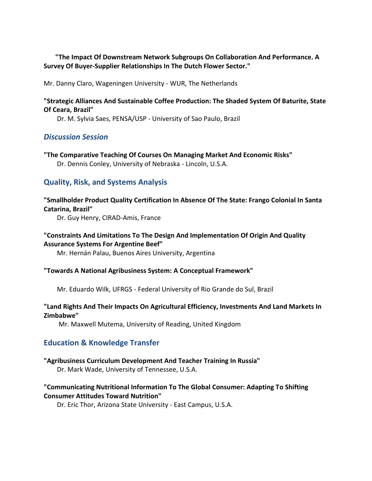**"The Impact Of Downstream Network Subgroups On Collaboration And Performance. A Survey Of Buyer-Supplier Relationships In The Dutch Flower Sector."**

Mr. Danny Claro, Wageningen University - WUR, The Netherlands

### **"Strategic Alliances And Sustainable Coffee Production: The Shaded System Of Baturite, State Of Ceara, Brazil"**

Dr. M. Sylvia Saes, PENSA/USP - University of Sao Paulo, Brazil

# *Discussion Session*

**["The Comparative Teaching Of Courses On](http://www.ifama.org/conferences/2003Conference/papers/conleyCOMPARA.pdf) Managing Market And Economic Risks"** Dr. Dennis Conley, University of Nebraska - Lincoln, U.S.A.

# **Quality, Risk, and Systems Analysis**

### **["Smallholder Product Quality Certification In Absence Of The State: Frango Colonial In Santa](http://www.ifama.org/conferences/2003Conference/papers/henry.pdf)  [Catarina, Brazil"](http://www.ifama.org/conferences/2003Conference/papers/henry.pdf)**

Dr. Guy Henry, CIRAD-Amis, France

### **["Constraints And Limitations To The Design And Implementation Of Origin And Quality](http://www.ifama.org/conferences/2003Conference/papers/palauCONST.pdf)  [Assurance Systems For Argentine Beef"](http://www.ifama.org/conferences/2003Conference/papers/palauCONST.pdf)**

Mr. Hernán Palau, Buenos Aires University, Argentina

#### **"Towards A National Agribusiness System: A Conceptual Framework"**

Mr. Eduardo Wilk, UFRGS - Federal University of Rio Grande do Sul, Brazil

### **["Land Rights And Their Impacts On Agricultural Efficiency, Investments And Land Markets In](http://www.ifama.org/conferences/2003Conference/papers/mutema.pdf)  [Zimbabwe"](http://www.ifama.org/conferences/2003Conference/papers/mutema.pdf)**

Mr. Maxwell Mutema, University of Reading, United Kingdom

# **Education & Knowledge Transfer**

### **"Agribusiness Curriculum Development And Teacher Training In Russia"**

Dr. Mark Wade, University of Tennessee, U.S.A.

# **["Communicating Nutritional Information To The Global Consumer: Adapting To Shifting](http://www.ifama.org/conferences/2003Conference/papers/thorCOMM.pdf)  [Consumer Attitudes Toward Nutrition"](http://www.ifama.org/conferences/2003Conference/papers/thorCOMM.pdf)**

Dr. Eric Thor, Arizona State University - East Campus, U.S.A.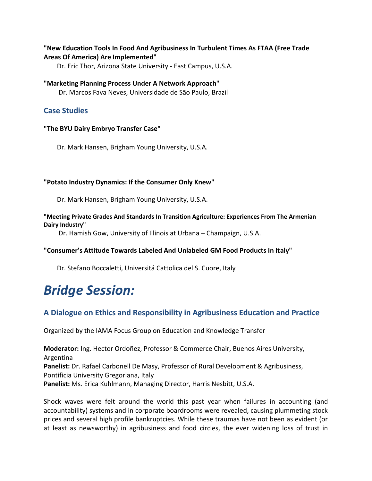### **["New Education Tools In Food And Agribusiness In Turbulent Times As FTAA \(Free Trade](http://www.ifama.org/conferences/2003Conference/papers/thorUPDATED.pdf)  [Areas Of America\) Are Implemented"](http://www.ifama.org/conferences/2003Conference/papers/thorUPDATED.pdf)**

Dr. Eric Thor, Arizona State University - East Campus, U.S.A.

### **["Marketing Planning Process Under A Network Approach"](http://www.ifama.org/conferences/2003Conference/papers/neves.pdf)**

Dr. Marcos Fava Neves, Universidade de São Paulo, Brazil

# **Case Studies**

### **"The BYU Dairy Embryo Transfer Case"**

Dr. Mark Hansen, Brigham Young University, U.S.A.

### **"Potato Industry Dynamics: If the Consumer Only Knew"**

Dr. Mark Hansen, Brigham Young University, U.S.A.

### **"Meeting Private Grades And Standards In Transition Agriculture: Experiences From The Armenian Dairy Industry"**

Dr. Hamish Gow, University of Illinois at Urbana – Champaign, U.S.A.

### **"Consumer's Attitude Towards Labeled And Unlabeled GM Food Products In Italy"**

Dr. Stefano Boccaletti, Universitá Cattolica del S. Cuore, Italy

# *Bridge Session:*

# **A Dialogue on Ethics and Responsibility in Agribusiness Education and Practice**

Organized by the IAMA Focus Group on Education and Knowledge Transfer

**Moderator:** Ing. Hector Ordoñez, Professor & Commerce Chair, Buenos Aires University, Argentina **Panelist:** Dr. Rafael Carbonell De Masy, Professor of Rural Development & Agribusiness, Pontificia University Gregoriana, Italy **Panelist:** Ms. Erica Kuhlmann, Managing Director, Harris Nesbitt, U.S.A.

Shock waves were felt around the world this past year when failures in accounting (and accountability) systems and in corporate boardrooms were revealed, causing plummeting stock prices and several high profile bankruptcies. While these traumas have not been as evident (or at least as newsworthy) in agribusiness and food circles, the ever widening loss of trust in